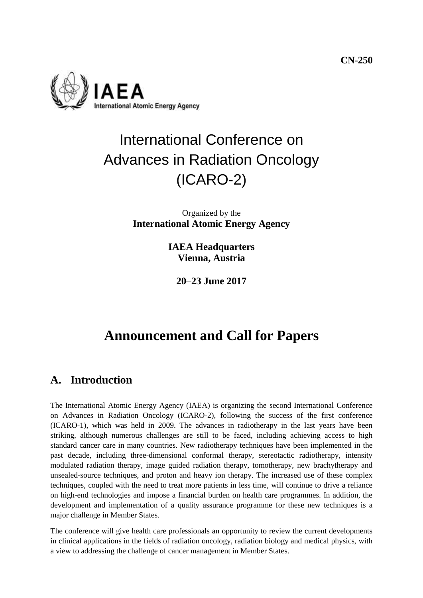**CN-250**



# International Conference on Advances in Radiation Oncology (ICARO-2)

#### Organized by the **International Atomic Energy Agency**

**IAEA Headquarters Vienna, Austria**

**20–23 June 2017**

# **Announcement and Call for Papers**

# **A. Introduction**

The International Atomic Energy Agency (IAEA) is organizing the second International Conference on Advances in Radiation Oncology (ICARO-2), following the success of the first conference (ICARO-1), which was held in 2009. The advances in radiotherapy in the last years have been striking, although numerous challenges are still to be faced, including achieving access to high standard cancer care in many countries. New radiotherapy techniques have been implemented in the past decade, including three-dimensional conformal therapy, stereotactic radiotherapy, intensity modulated radiation therapy, image guided radiation therapy, tomotherapy, new brachytherapy and unsealed-source techniques, and proton and heavy ion therapy. The increased use of these complex techniques, coupled with the need to treat more patients in less time, will continue to drive a reliance on high-end technologies and impose a financial burden on health care programmes. In addition, the development and implementation of a quality assurance programme for these new techniques is a major challenge in Member States.

The conference will give health care professionals an opportunity to review the current developments in clinical applications in the fields of radiation oncology, radiation biology and medical physics, with a view to addressing the challenge of cancer management in Member States.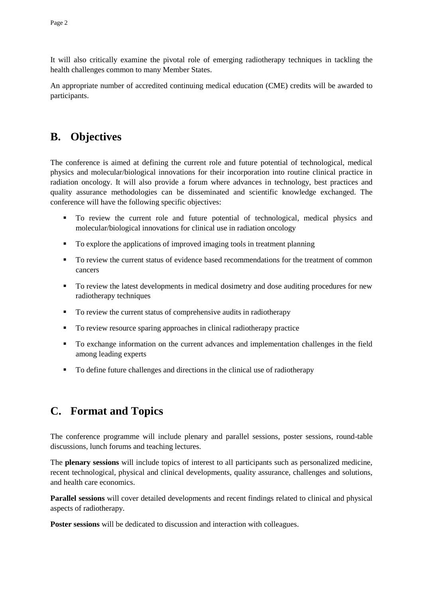It will also critically examine the pivotal role of emerging radiotherapy techniques in tackling the health challenges common to many Member States.

An appropriate number of accredited continuing medical education (CME) credits will be awarded to participants.

### **B. Objectives**

The conference is aimed at defining the current role and future potential of technological, medical physics and molecular/biological innovations for their incorporation into routine clinical practice in radiation oncology. It will also provide a forum where advances in technology, best practices and quality assurance methodologies can be disseminated and scientific knowledge exchanged. The conference will have the following specific objectives:

- To review the current role and future potential of technological, medical physics and molecular/biological innovations for clinical use in radiation oncology
- To explore the applications of improved imaging tools in treatment planning
- To review the current status of evidence based recommendations for the treatment of common cancers
- To review the latest developments in medical dosimetry and dose auditing procedures for new radiotherapy techniques
- To review the current status of comprehensive audits in radiotherapy
- To review resource sparing approaches in clinical radiotherapy practice
- To exchange information on the current advances and implementation challenges in the field among leading experts
- <span id="page-1-0"></span>To define future challenges and directions in the clinical use of radiotherapy

# **C. Format and Topics**

The conference programme will include plenary and parallel sessions, poster sessions, round-table discussions, lunch forums and teaching lectures.

The **plenary sessions** will include topics of interest to all participants such as personalized medicine, recent technological, physical and clinical developments, quality assurance, challenges and solutions, and health care economics.

**Parallel sessions** will cover detailed developments and recent findings related to clinical and physical aspects of radiotherapy.

**Poster sessions** will be dedicated to discussion and interaction with colleagues.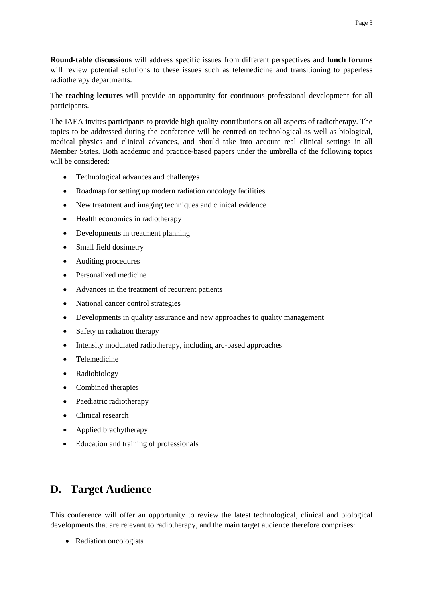**Round-table discussions** will address specific issues from different perspectives and **lunch forums** will review potential solutions to these issues such as telemedicine and transitioning to paperless radiotherapy departments.

The **teaching lectures** will provide an opportunity for continuous professional development for all participants.

The IAEA invites participants to provide high quality contributions on all aspects of radiotherapy. The topics to be addressed during the conference will be centred on technological as well as biological, medical physics and clinical advances, and should take into account real clinical settings in all Member States. Both academic and practice-based papers under the umbrella of the following topics will be considered:

- Technological advances and challenges
- Roadmap for setting up modern radiation oncology facilities
- New treatment and imaging techniques and clinical evidence
- Health economics in radiotherapy
- Developments in treatment planning
- Small field dosimetry
- Auditing procedures
- Personalized medicine
- Advances in the treatment of recurrent patients
- National cancer control strategies
- Developments in quality assurance and new approaches to quality management
- Safety in radiation therapy
- Intensity modulated radiotherapy, including arc-based approaches
- Telemedicine
- Radiobiology
- Combined therapies
- Paediatric radiotherapy
- Clinical research
- Applied brachytherapy
- Education and training of professionals

# **D. Target Audience**

This conference will offer an opportunity to review the latest technological, clinical and biological developments that are relevant to radiotherapy, and the main target audience therefore comprises:

• Radiation oncologists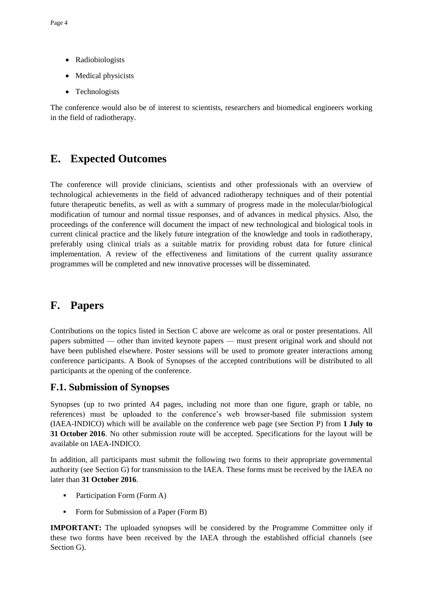- Radiobiologists
- Medical physicists
- Technologists

The conference would also be of interest to scientists, researchers and biomedical engineers working in the field of radiotherapy.

# **E. Expected Outcomes**

The conference will provide clinicians, scientists and other professionals with an overview of technological achievements in the field of advanced radiotherapy techniques and of their potential future therapeutic benefits, as well as with a summary of progress made in the molecular/biological modification of tumour and normal tissue responses, and of advances in medical physics. Also, the proceedings of the conference will document the impact of new technological and biological tools in current clinical practice and the likely future integration of the knowledge and tools in radiotherapy, preferably using clinical trials as a suitable matrix for providing robust data for future clinical implementation. A review of the effectiveness and limitations of the current quality assurance programmes will be completed and new innovative processes will be disseminated.

# **F. Papers**

Contributions on the topics listed in Section [C](#page-1-0) above are welcome as oral or poster presentations. All papers submitted — other than invited keynote papers — must present original work and should not have been published elsewhere. Poster sessions will be used to promote greater interactions among conference participants. A Book of Synopses of the accepted contributions will be distributed to all participants at the opening of the conference.

#### **F.1. Submission of Synopses**

Synopses (up to two printed A4 pages, including not more than one figure, graph or table, no references) must be uploaded to the conference's web browser-based file submission system (IAEA-INDICO) which will be available on the conference web page (see Section [P\)](#page-7-0) from **1 July to 31 October 2016**. No other submission route will be accepted. Specifications for the layout will be available on IAEA-INDICO.

In addition, all participants must submit the following two forms to their appropriate governmental authority (see Section [G\)](#page-4-0) for transmission to the IAEA. These forms must be received by the IAEA no later than **31 October 2016**.

- Participation Form (Form A)
- Form for Submission of a Paper (Form B)

**IMPORTANT:** The uploaded synopses will be considered by the Programme Committee only if these two forms have been received by the IAEA through the established official channels (see Section [G\)](#page-4-0).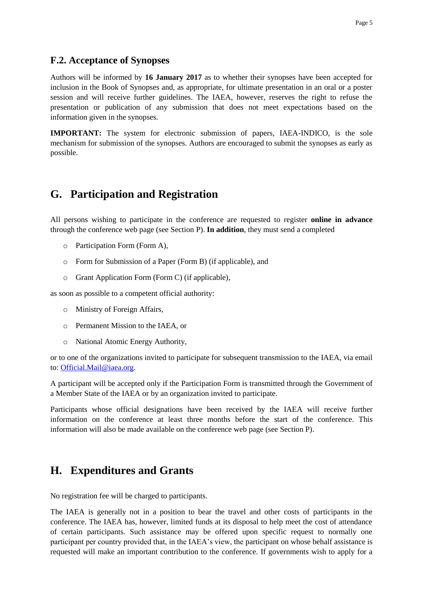#### **F.2. Acceptance of Synopses**

Authors will be informed by **16 January 2017** as to whether their synopses have been accepted for inclusion in the Book of Synopses and, as appropriate, for ultimate presentation in an oral or a poster session and will receive further guidelines. The IAEA, however, reserves the right to refuse the presentation or publication of any submission that does not meet expectations based on the information given in the synopses.

**IMPORTANT:** The system for electronic submission of papers, IAEA-INDICO, is the sole mechanism for submission of the synopses. Authors are encouraged to submit the synopses as early as possible.

#### <span id="page-4-0"></span>**G. Participation and Registration**

All persons wishing to participate in the conference are requested to register **online in advance** through the conference web page (see Section [P\)](#page-7-0). **In addition**, they must send a completed

- o Participation Form (Form A),
- o Form for Submission of a Paper (Form B) (if applicable), and
- o Grant Application Form (Form C) (if applicable),

as soon as possible to a competent official authority:

- o Ministry of Foreign Affairs,
- o Permanent Mission to the IAEA, or
- o National Atomic Energy Authority,

or to one of the organizations invited to participate for subsequent transmission to the IAEA, via email to: [Official.Mail@iaea.org.](mailto:Official.Mail@iaea.org)

A participant will be accepted only if the Participation Form is transmitted through the Government of a Member State of the IAEA or by an organization invited to participate.

Participants whose official designations have been received by the IAEA will receive further information on the conference at least three months before the start of the conference. This information will also be made available on the conference web page (see Section [P\)](#page-7-0).

### **H. Expenditures and Grants**

No registration fee will be charged to participants.

The IAEA is generally not in a position to bear the travel and other costs of participants in the conference. The IAEA has, however, limited funds at its disposal to help meet the cost of attendance of certain participants. Such assistance may be offered upon specific request to normally one participant per country provided that, in the IAEA's view, the participant on whose behalf assistance is requested will make an important contribution to the conference. If governments wish to apply for a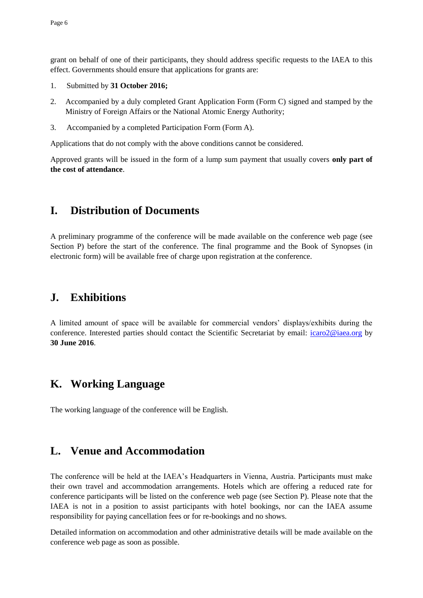grant on behalf of one of their participants, they should address specific requests to the IAEA to this effect. Governments should ensure that applications for grants are:

- 1. Submitted by **31 October 2016;**
- 2. Accompanied by a duly completed Grant Application Form (Form C) signed and stamped by the Ministry of Foreign Affairs or the National Atomic Energy Authority;
- 3. Accompanied by a completed Participation Form (Form A).

Applications that do not comply with the above conditions cannot be considered.

Approved grants will be issued in the form of a lump sum payment that usually covers **only part of the cost of attendance**.

### **I. Distribution of Documents**

A preliminary programme of the conference will be made available on the conference web page (see Section [P\)](#page-7-0) before the start of the conference. The final programme and the Book of Synopses (in electronic form) will be available free of charge upon registration at the conference.

### **J. Exhibitions**

A limited amount of space will be available for commercial vendors' displays/exhibits during the conference. Interested parties should contact the Scientific Secretariat by email: [icaro2@iaea.org](mailto:icaro2@iaea.org) by **30 June 2016**.

# **K. Working Language**

The working language of the conference will be English.

### **L. Venue and Accommodation**

The conference will be held at the IAEA's Headquarters in Vienna, Austria. Participants must make their own travel and accommodation arrangements. Hotels which are offering a reduced rate for conference participants will be listed on the conference web page (see Section [P\)](#page-7-0). Please note that the IAEA is not in a position to assist participants with hotel bookings, nor can the IAEA assume responsibility for paying cancellation fees or for re-bookings and no shows.

Detailed information on accommodation and other administrative details will be made available on the conference web page as soon as possible.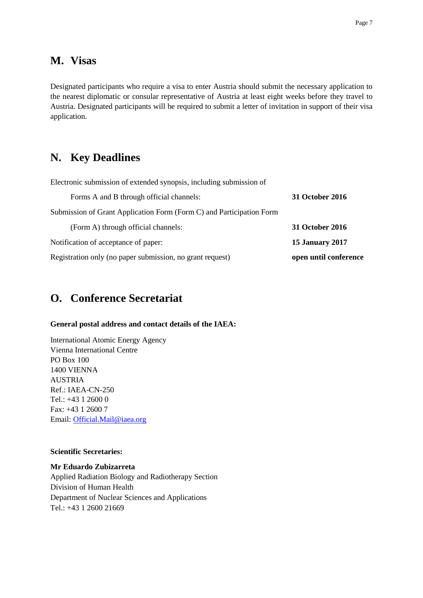#### **M. Visas**

Designated participants who require a visa to enter Austria should submit the necessary application to the nearest diplomatic or consular representative of Austria at least eight weeks before they travel to Austria. Designated participants will be required to submit a letter of invitation in support of their visa application.

#### **N. Key Deadlines**

| Electronic submission of extended synopsis, including submission of  |                        |
|----------------------------------------------------------------------|------------------------|
| Forms A and B through official channels:                             | 31 October 2016        |
| Submission of Grant Application Form (Form C) and Participation Form |                        |
| (Form A) through official channels:                                  | 31 October 2016        |
| Notification of acceptance of paper:                                 | <b>15 January 2017</b> |
| Registration only (no paper submission, no grant request)            | open until conference  |

### **O. Conference Secretariat**

#### **General postal address and contact details of the IAEA:**

International Atomic Energy Agency Vienna International Centre PO Box 100 1400 VIENNA AUSTRIA Ref.: IAEA-CN-250 Tel.: +43 1 2600 0 Fax: +43 1 2600 7 Email: [Official.Mail@iaea.org](mailto:Official.Mail@iaea.org)

#### **Scientific Secretaries:**

**Mr Eduardo Zubizarreta** Applied Radiation Biology and Radiotherapy Section Division of Human Health Department of Nuclear Sciences and Applications Tel.: +43 1 2600 21669